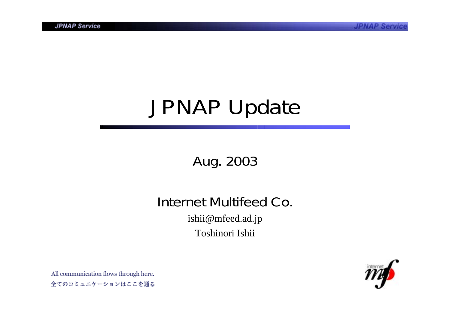# JPNAP Update

Aug. 2003

Internet Multifeed Co.ishii@mfeed.ad.jp Toshinori Ishii



All communication flows through here.

全てのコミュニケーションはここを通る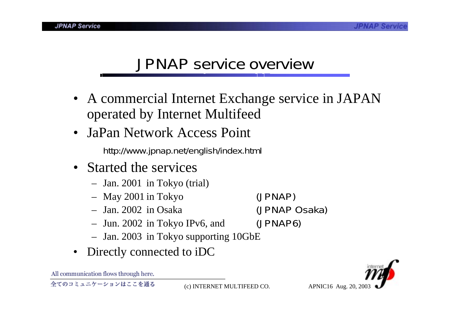#### JPNAP service overview

- A commercial Internet Exchange service in JAPAN operated by Internet Multifeed
- JaPan Network Access Point

http://www.jpnap.net/english/index.html

- Started the services
	- Jan. 2001 in Tokyo (trial)
	- May 2001 in Tokyo (JPNAP)
	- Jan. 2002 in Osaka
	- Jun. 2002 in Tokyo IPv6, and (JPNAP6)
	- Jan. 2003 in Tokyo supporting 10GbE
- $\bullet$ Directly connected to iDC



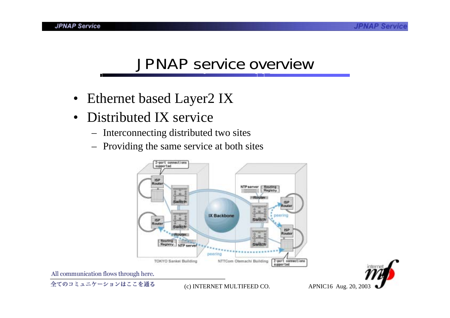### JPNAP service overview

- Ethernet based Layer2 IX
- Distributed IX service
	- Interconnecting distributed two sites
	- Providing the same service at both sites





All communication flows through here.

全てのコミュニケーションはここを通る

(c) INTERNET MULTIFEED CO. APNIC16 Aug. 20, 2003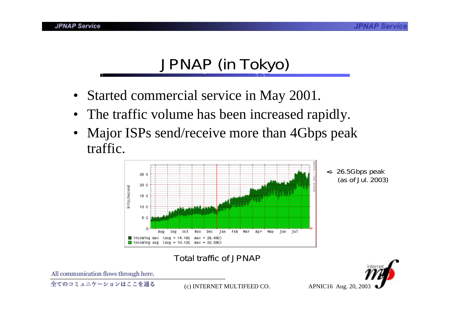# JPNAP (in Tokyo)

- Started commercial service in May 2001.
- •The traffic volume has been increased rapidly.
- • Major ISPs send/receive more than 4Gbps peak traffic.



<- 26.5Gbps peak (as of Jul. 2003)

#### Total traffic of JPNAP



All communication flows through here.

全てのコミュニケーションはここを通る

(c) INTERNET MULTIFEED CO. APNIC16 Aug. 20, 2003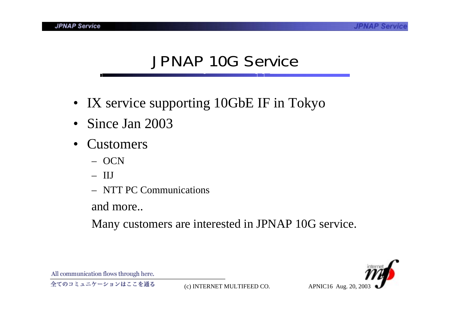#### JPNAP 10G Service

- IX service supporting 10GbE IF in Tokyo
- Since Jan 2003
- Customers
	- OCN
	- IIJ
	- NTT PC Communications

and more..

Many customers are interested in JPNAP 10G service.

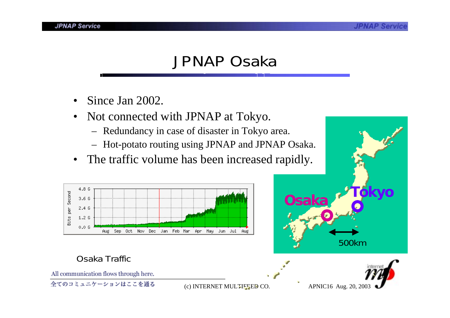### JPNAP Osaka

- •Since Jan 2002.
- • Not connected with JPNAP at Tokyo.
	- Redundancy in case of disaster in Tokyo area.
	- Hot-potato routing using JPNAP and JPNAP Osaka.
- $\bullet$ The traffic volume has been increased rapidly.



#### Osaka Traffic

All communication flows through here.

全てのコミュニケーションはここを通る

(c) INTERNET MULTIFEED CO. APNIC16 Aug. 20, 2003

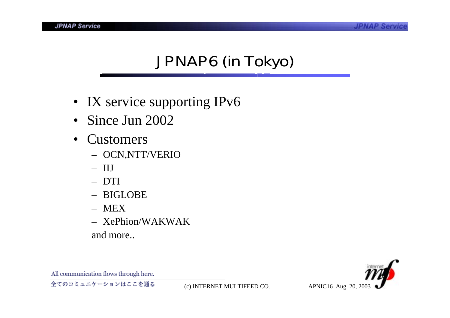# JPNAP6 (in Tokyo)

- IX service supporting IPv6
- Since Jun 2002
- Customers
	- OCN,NTT/VERIO
	- IIJ
	- DTI
	- BIGLOBE
	- MEX
	- XePhion/WAKWAK

and more..